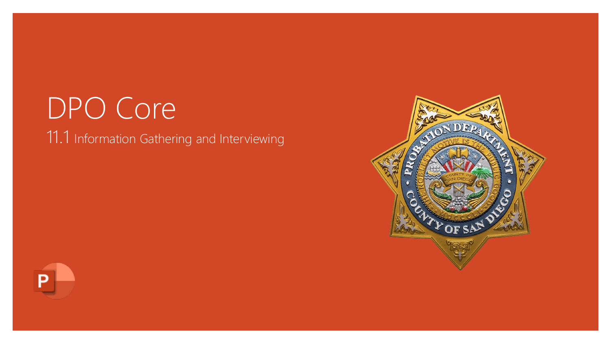# DPO Core 11.1 Information Gathering and Interviewing



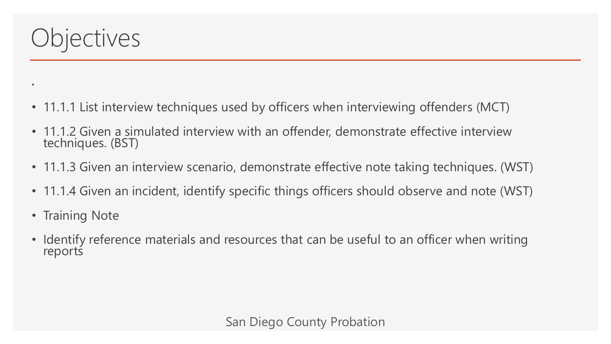

•

- 11.1.1 List interview techniques used by officers when interviewing offenders (MCT)
- 11.1.2 Given a simulated interview with an offender, demonstrate effective interview techniques. (BST)
- 11.1.3 Given an interview scenario, demonstrate effective note taking techniques. (WST)
- 11.1.4 Given an incident, identify specific things officers should observe and note (WST)
- Training Note
- Identify reference materials and resources that can be useful to an officer when writing reports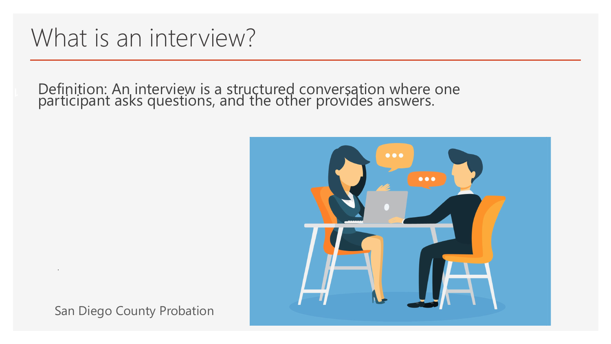# What is an interview?

**1** Definition: An interview is a structured conversation where one participant asks questions, and the other provides answers.



San Diego County Probation

.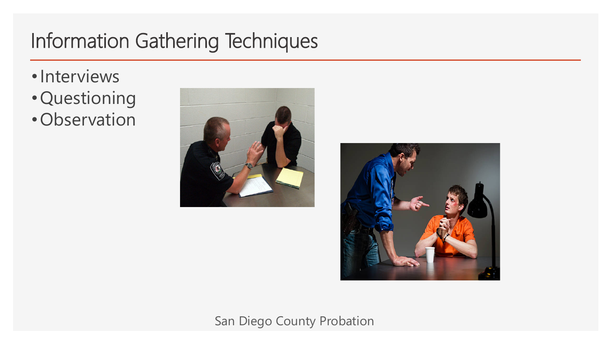# Information Gathering Techniques

- •Interviews
- •Questioning
- •Observation



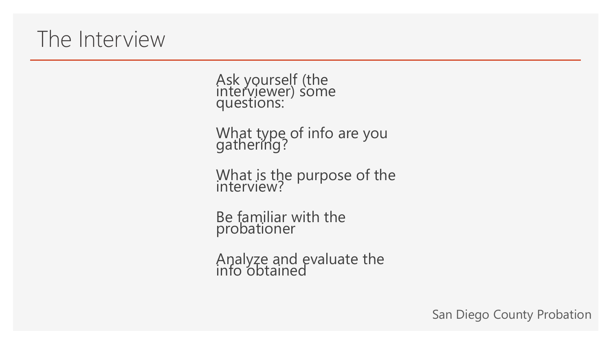## The Interview

Ask yourself (the interviewer) some questions:

What type of info are you gathering?

What is the purpose of the interview?

Be familiar with the probationer

Analyze and evaluate the info obtained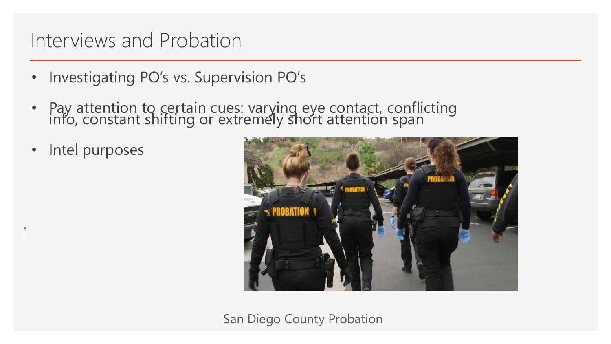#### Interviews and Probation

- Investigating PO's vs. Supervision PO's
- Pay attention to certain cues: varying eye contact, conflicting info, constant shifting or extremely short attention span
- Intel purposes

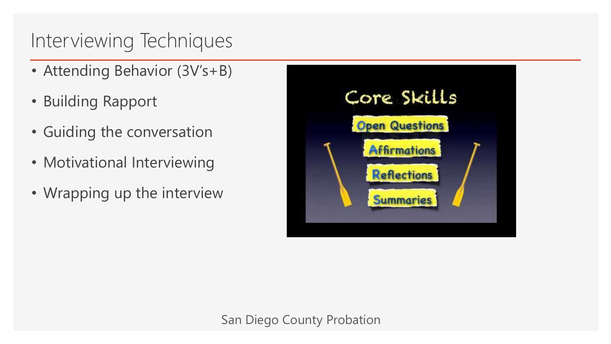### Interviewing Techniques

- Attending Behavior (3V's+B)
- Building Rapport
- Guiding the conversation
- Motivational Interviewing
- Wrapping up the interview

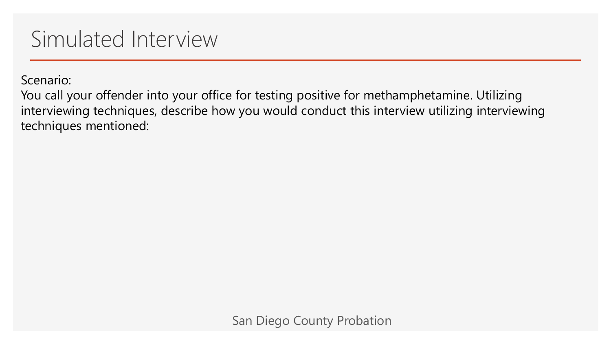# Simulated Interview

Scenario:

You call your offender into your office for testing positive for methamphetamine. Utilizing interviewing techniques, describe how you would conduct this interview utilizing interviewing techniques mentioned: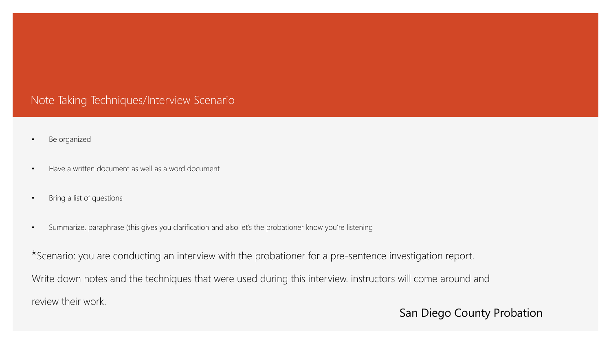#### Note Taking Techniques/Interview Scenario

- Be organized
- Have a written document as well as a word document
- Bring a list of questions
- Summarize, paraphrase (this gives you clarification and also let's the probationer know you're listening

\*Scenario: you are conducting an interview with the probationer for a pre-sentence investigation report.

Write down notes and the techniques that were used during this interview. instructors will come around and

review their work.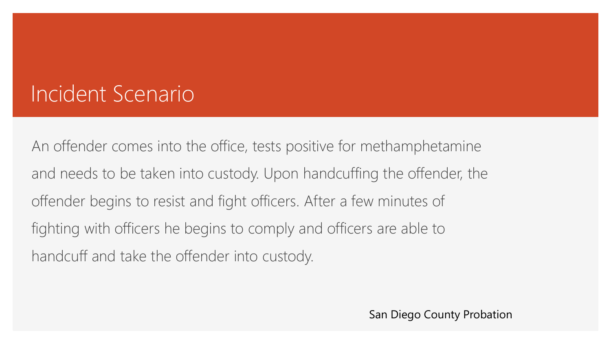# Incident Scenario

An offender comes into the office, tests positive for methamphetamine and needs to be taken into custody. Upon handcuffing the offender, the offender begins to resist and fight officers. After a few minutes of fighting with officers he begins to comply and officers are able to handcuff and take the offender into custody.